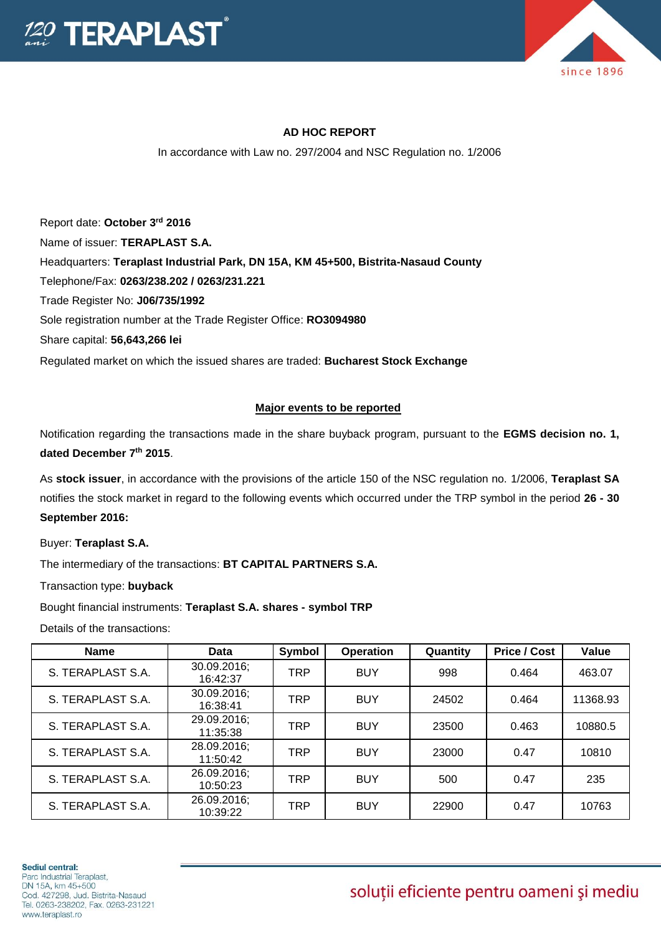



## **AD HOC REPORT**

In accordance with Law no. 297/2004 and NSC Regulation no. 1/2006

Report date: **October 3rd 2016** Name of issuer: **TERAPLAST S.A.**  Headquarters: **Teraplast Industrial Park, DN 15A, KM 45+500, Bistrita-Nasaud County** Telephone/Fax: **0263/238.202 / 0263/231.221** Trade Register No: **J06/735/1992** Sole registration number at the Trade Register Office: **RO3094980** Share capital: **56,643,266 lei**  Regulated market on which the issued shares are traded: **Bucharest Stock Exchange**

## **Major events to be reported**

Notification regarding the transactions made in the share buyback program, pursuant to the **EGMS decision no. 1, dated December 7th 2015**.

As **stock issuer**, in accordance with the provisions of the article 150 of the NSC regulation no. 1/2006, **Teraplast SA** notifies the stock market in regard to the following events which occurred under the TRP symbol in the period **26 - 30 September 2016:**

Buyer: **Teraplast S.A.**

The intermediary of the transactions: **BT CAPITAL PARTNERS S.A.**

Transaction type: **buyback**

Bought financial instruments: **Teraplast S.A. shares - symbol TRP**

Details of the transactions:

| <b>Name</b>       | Data                    | Symbol     | <b>Operation</b> | Quantity | <b>Price / Cost</b> | Value    |
|-------------------|-------------------------|------------|------------------|----------|---------------------|----------|
| S. TERAPLAST S.A. | 30.09.2016;<br>16:42:37 | <b>TRP</b> | <b>BUY</b>       | 998      | 0.464               | 463.07   |
| S. TERAPLAST S.A. | 30.09.2016;<br>16:38:41 | <b>TRP</b> | <b>BUY</b>       | 24502    | 0.464               | 11368.93 |
| S. TERAPLAST S.A. | 29.09.2016;<br>11:35:38 | <b>TRP</b> | <b>BUY</b>       | 23500    | 0.463               | 10880.5  |
| S. TERAPLAST S.A. | 28.09.2016;<br>11:50:42 | <b>TRP</b> | <b>BUY</b>       | 23000    | 0.47                | 10810    |
| S. TERAPLAST S.A. | 26.09.2016;<br>10:50:23 | <b>TRP</b> | <b>BUY</b>       | 500      | 0.47                | 235      |
| S. TERAPLAST S.A. | 26.09.2016;<br>10:39:22 | <b>TRP</b> | <b>BUY</b>       | 22900    | 0.47                | 10763    |